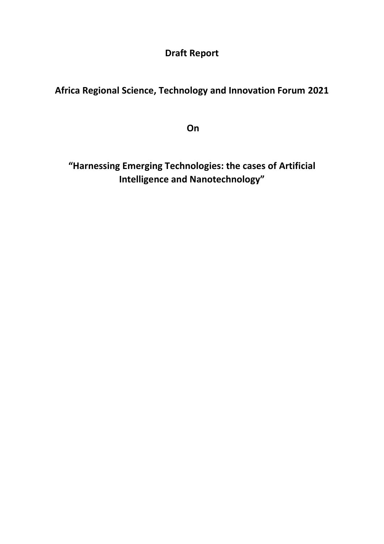**Draft Report** 

**Africa Regional Science, Technology and Innovation Forum 2021**

**On**

**"Harnessing Emerging Technologies: the cases of Artificial Intelligence and Nanotechnology"**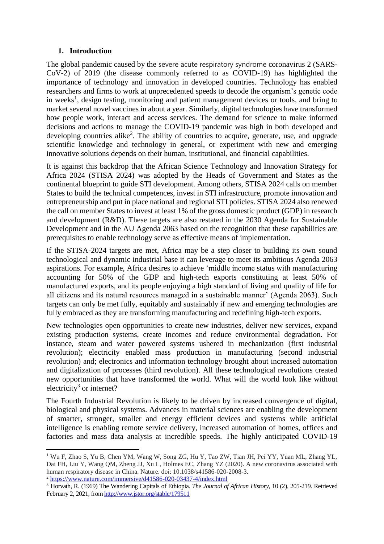#### **1. Introduction**

The global pandemic caused by the severe acute respiratory syndrome coronavirus 2 (SARS-CoV-2) of 2019 (the disease commonly referred to as COVID-19) has highlighted the importance of technology and innovation in developed countries. Technology has enabled researchers and firms to work at unprecedented speeds to decode the organism's genetic code in weeks<sup>1</sup>, design testing, monitoring and patient management devices or tools, and bring to market several novel vaccines in about a year. Similarly, digital technologies have transformed how people work, interact and access services. The demand for science to make informed decisions and actions to manage the COVID-19 pandemic was high in both developed and developing countries alike<sup>2</sup>. The ability of countries to acquire, generate, use, and upgrade scientific knowledge and technology in general, or experiment with new and emerging innovative solutions depends on their human, institutional, and financial capabilities.

It is against this backdrop that the African Science Technology and Innovation Strategy for Africa 2024 (STISA 2024) was adopted by the Heads of Government and States as the continental blueprint to guide STI development. Among others, STISA 2024 calls on member States to build the technical competences, invest in STI infrastructure, promote innovation and entrepreneurship and put in place national and regional STI policies. STISA 2024 also renewed the call on member States to invest at least 1% of the gross domestic product (GDP) in research and development (R&D). These targets are also restated in the 2030 Agenda for Sustainable Development and in the AU Agenda 2063 based on the recognition that these capabilities are prerequisites to enable technology serve as effective means of implementation.

If the STISA-2024 targets are met, Africa may be a step closer to building its own sound technological and dynamic industrial base it can leverage to meet its ambitious Agenda 2063 aspirations. For example, Africa desires to achieve 'middle income status with manufacturing accounting for 50% of the GDP and high-tech exports constituting at least 50% of manufactured exports, and its people enjoying a high standard of living and quality of life for all citizens and its natural resources managed in a sustainable manner' (Agenda 2063). Such targets can only be met fully, equitably and sustainably if new and emerging technologies are fully embraced as they are transforming manufacturing and redefining high-tech exports.

New technologies open opportunities to create new industries, deliver new services, expand existing production systems, create incomes and reduce environmental degradation. For instance, steam and water powered systems ushered in mechanization (first industrial revolution); electricity enabled mass production in manufacturing (second industrial revolution) and; electronics and information technology brought about increased automation and digitalization of processes (third revolution). All these technological revolutions created new opportunities that have transformed the world. What will the world look like without electricity<sup>3</sup> or internet?

The Fourth Industrial Revolution is likely to be driven by increased convergence of digital, biological and physical systems. Advances in material sciences are enabling the development of smarter, stronger, smaller and energy efficient devices and systems while artificial intelligence is enabling remote service delivery, increased automation of homes, offices and factories and mass data analysis at incredible speeds. The highly anticipated COVID-19

1

<sup>1</sup> Wu F, Zhao S, Yu B, Chen YM, Wang W, Song ZG, Hu Y, Tao ZW, Tian JH, Pei YY, Yuan ML, Zhang YL, Dai FH, Liu Y, Wang QM, Zheng JJ, Xu L, Holmes EC, Zhang YZ (2020). A new coronavirus associated with human respiratory disease in China. Nature. doi: 10.1038/s41586-020-2008-3.

<sup>2</sup> <https://www.nature.com/immersive/d41586-020-03437-4/index.html>

<sup>3</sup> Horvath, R. (1969) The Wandering Capitals of Ethiopia. *The Journal of African History,* 10 (2), 205-219. Retrieved February 2, 2021, from<http://www.jstor.org/stable/179511>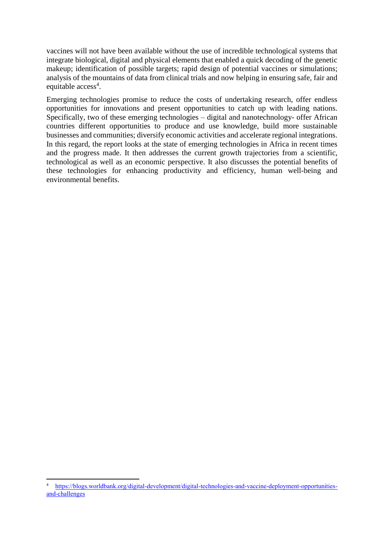vaccines will not have been available without the use of incredible technological systems that integrate biological, digital and physical elements that enabled a quick decoding of the genetic makeup; identification of possible targets; rapid design of potential vaccines or simulations; analysis of the mountains of data from clinical trials and now helping in ensuring safe, fair and equitable access<sup>4</sup>.

Emerging technologies promise to reduce the costs of undertaking research, offer endless opportunities for innovations and present opportunities to catch up with leading nations. Specifically, two of these emerging technologies – digital and nanotechnology- offer African countries different opportunities to produce and use knowledge, build more sustainable businesses and communities; diversify economic activities and accelerate regional integrations. In this regard, the report looks at the state of emerging technologies in Africa in recent times and the progress made. It then addresses the current growth trajectories from a scientific, technological as well as an economic perspective. It also discusses the potential benefits of these technologies for enhancing productivity and efficiency, human well-being and environmental benefits.

**<sup>.</sup>** [https://blogs.worldbank.org/digital-development/digital-technologies-and-vaccine-deployment-opportunities](https://blogs.worldbank.org/digital-development/digital-technologies-and-vaccine-deployment-opportunities-and-challenges)[and-challenges](https://blogs.worldbank.org/digital-development/digital-technologies-and-vaccine-deployment-opportunities-and-challenges)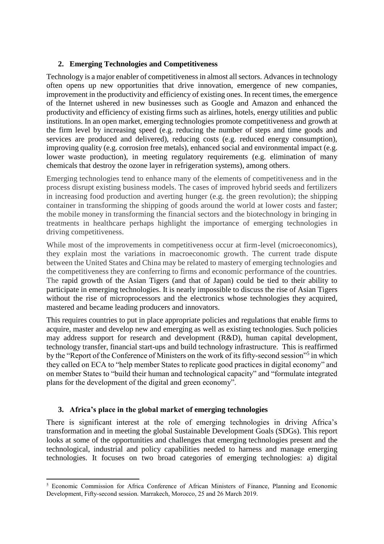### **2. Emerging Technologies and Competitiveness**

Technology is a major enabler of competitiveness in almost all sectors. Advances in technology often opens up new opportunities that drive innovation, emergence of new companies, improvement in the productivity and efficiency of existing ones. In recent times, the emergence of the Internet ushered in new businesses such as Google and Amazon and enhanced the productivity and efficiency of existing firms such as airlines, hotels, energy utilities and public institutions. In an open market, emerging technologies promote competitiveness and growth at the firm level by increasing speed (e.g. reducing the number of steps and time goods and services are produced and delivered), reducing costs (e.g. reduced energy consumption), improving quality (e.g. corrosion free metals), enhanced social and environmental impact (e.g. lower waste production), in meeting regulatory requirements (e.g. elimination of many chemicals that destroy the ozone layer in refrigeration systems), among others.

Emerging technologies tend to enhance many of the elements of competitiveness and in the process disrupt existing business models. The cases of improved hybrid seeds and fertilizers in increasing food production and averting hunger (e.g. the green revolution); the shipping container in transforming the shipping of goods around the world at lower costs and faster; the mobile money in transforming the financial sectors and the biotechnology in bringing in treatments in healthcare perhaps highlight the importance of emerging technologies in driving competitiveness.

While most of the improvements in competitiveness occur at firm-level (microeconomics), they explain most the variations in macroeconomic growth. The current trade dispute between the United States and China may be related to mastery of emerging technologies and the competitiveness they are conferring to firms and economic performance of the countries. The rapid growth of the Asian Tigers (and that of Japan) could be tied to their ability to participate in emerging technologies. It is nearly impossible to discuss the rise of Asian Tigers without the rise of microprocessors and the electronics whose technologies they acquired, mastered and became leading producers and innovators.

This requires countries to put in place appropriate policies and regulations that enable firms to acquire, master and develop new and emerging as well as existing technologies. Such policies may address support for research and development (R&D), human capital development, technology transfer, financial start-ups and build technology infrastructure. This is reaffirmed by the "Report of the Conference of Ministers on the work of its fifty-second session"<sup>5</sup> in which they called on ECA to "help member States to replicate good practices in digital economy" and on member States to "build their human and technological capacity" and "formulate integrated plans for the development of the digital and green economy".

#### **3. Africa's place in the global market of emerging technologies**

There is significant interest at the role of emerging technologies in driving Africa's transformation and in meeting the global Sustainable Development Goals (SDGs). This report looks at some of the opportunities and challenges that emerging technologies present and the technological, industrial and policy capabilities needed to harness and manage emerging technologies. It focuses on two broad categories of emerging technologies: a) digital

**<sup>.</sup>** <sup>5</sup> Economic Commission for Africa Conference of African Ministers of Finance, Planning and Economic Development, Fifty-second session. Marrakech, Morocco, 25 and 26 March 2019.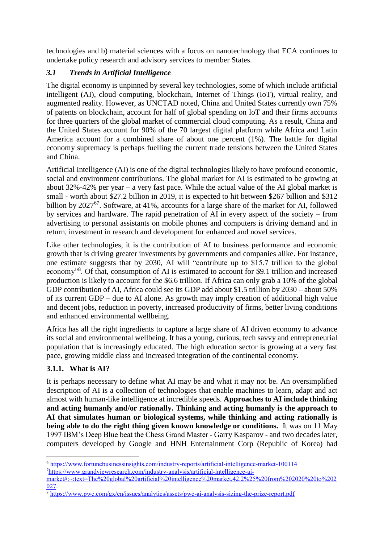technologies and b) material sciences with a focus on nanotechnology that ECA continues to undertake policy research and advisory services to member States.

# *3.1 Trends in Artificial Intelligence*

The digital economy is unpinned by several key technologies, some of which include artificial intelligent (AI), cloud computing, blockchain, Internet of Things (IoT), virtual reality, and augmented reality. However, as UNCTAD noted, China and United States currently own 75% of patents on blockchain, account for half of global spending on IoT and their firms accounts for three quarters of the global market of commercial cloud computing. As a result, China and the United States account for 90% of the 70 largest digital platform while Africa and Latin America account for a combined share of about one percent (1%). The battle for digital economy supremacy is perhaps fuelling the current trade tensions between the United States and China.

Artificial Intelligence (AI) is one of the digital technologies likely to have profound economic, social and environment contributions. The global market for AI is estimated to be growing at about 32%-42% per year – a very fast pace. While the actual value of the AI global market is small - worth about \$27.2 billion in 2019, it is expected to hit between \$267 billion and \$312 billion by 2027<sup>67</sup>. Software, at 41%, accounts for a large share of the market for AI, followed by services and hardware. The rapid penetration of AI in every aspect of the society – from advertising to personal assistants on mobile phones and computers is driving demand and in return, investment in research and development for enhanced and novel services.

Like other technologies, it is the contribution of AI to business performance and economic growth that is driving greater investments by governments and companies alike. For instance, one estimate suggests that by 2030, AI will "contribute up to \$15.7 trillion to the global economy"<sup>8</sup>. Of that, consumption of AI is estimated to account for \$9.1 trillion and increased production is likely to account for the \$6.6 trillion. If Africa can only grab a 10% of the global GDP contribution of AI, Africa could see its GDP add about \$1.5 trillion by 2030 – about 50% of its current GDP – due to AI alone. As growth may imply creation of additional high value and decent jobs, reduction in poverty, increased productivity of firms, better living conditions and enhanced environmental wellbeing.

Africa has all the right ingredients to capture a large share of AI driven economy to advance its social and environmental wellbeing. It has a young, curious, tech savvy and entrepreneurial population that is increasingly educated. The high education sector is growing at a very fast pace, growing middle class and increased integration of the continental economy.

# **3.1.1. What is AI?**

It is perhaps necessary to define what AI may be and what it may not be. An oversimplified description of AI is a collection of technologies that enable machines to learn, adapt and act almost with human-like intelligence at incredible speeds. **Approaches to AI include thinking and acting humanly and/or rationally. Thinking and acting humanly is the approach to AI that simulates human or biological systems, while thinking and acting rationally is being able to do the right thing given known knowledge or conditions.** It was on 11 May 1997 IBM's Deep Blue beat the Chess Grand Master - Garry Kasparov - and two decades later, computers developed by Google and HNH Entertainment Corp (Republic of Korea) had

**<sup>.</sup>** <sup>6</sup> <https://www.fortunebusinessinsights.com/industry-reports/artificial-intelligence-market-100114>

<sup>7</sup>[https://www.grandviewresearch.com/industry-analysis/artificial-intelligence-ai-](https://www.grandviewresearch.com/industry-analysis/artificial-intelligence-ai-market#:~:text=The%20global%20artificial%20intelligence%20market,42.2%25%20from%202020%20to%202027)

[market#:~:text=The%20global%20artificial%20intelligence%20market,42.2%25%20from%202020%20to%202](https://www.grandviewresearch.com/industry-analysis/artificial-intelligence-ai-market#:~:text=The%20global%20artificial%20intelligence%20market,42.2%25%20from%202020%20to%202027) [027.](https://www.grandviewresearch.com/industry-analysis/artificial-intelligence-ai-market#:~:text=The%20global%20artificial%20intelligence%20market,42.2%25%20from%202020%20to%202027)

<sup>8</sup> <https://www.pwc.com/gx/en/issues/analytics/assets/pwc-ai-analysis-sizing-the-prize-report.pdf>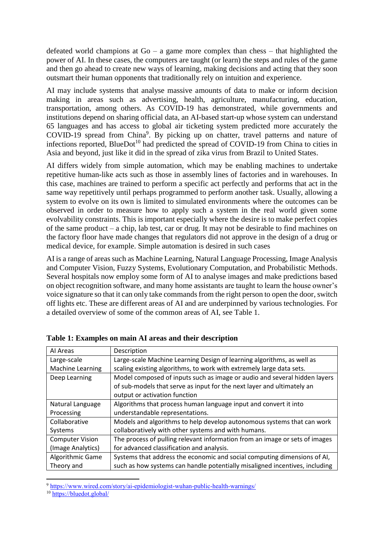defeated world champions at Go – a game more complex than chess – that highlighted the power of AI. In these cases, the computers are taught (or learn) the steps and rules of the game and then go ahead to create new ways of learning, making decisions and acting that they soon outsmart their human opponents that traditionally rely on intuition and experience.

AI may include systems that analyse massive amounts of data to make or inform decision making in areas such as advertising, health, agriculture, manufacturing, education, transportation, among others. As COVID-19 has demonstrated, while governments and institutions depend on sharing official data, an AI-based start-up whose system can understand 65 languages and has access to global air ticketing system predicted more accurately the COVID-19 spread from China<sup>9</sup>. By picking up on chatter, travel patterns and nature of infections reported, BlueDot<sup>10</sup> had predicted the spread of COVID-19 from China to cities in Asia and beyond, just like it did in the spread of zika virus from Brazil to United States.

AI differs widely from simple automation, which may be enabling machines to undertake repetitive human-like acts such as those in assembly lines of factories and in warehouses. In this case, machines are trained to perform a specific act perfectly and performs that act in the same way repetitively until perhaps programmed to perform another task. Usually, allowing a system to evolve on its own is limited to simulated environments where the outcomes can be observed in order to measure how to apply such a system in the real world given some evolvability constraints. This is important especially where the desire is to make perfect copies of the same product – a chip, lab test, car or drug. It may not be desirable to find machines on the factory floor have made changes that regulators did not approve in the design of a drug or medical device, for example. Simple automation is desired in such cases

AI is a range of areas such as Machine Learning, Natural Language Processing, Image Analysis and Computer Vision, Fuzzy Systems, Evolutionary Computation, and Probabilistic Methods. Several hospitals now employ some form of AI to analyse images and make predictions based on object recognition software, and many home assistants are taught to learn the house owner's voice signature so that it can only take commands from the right person to open the door, switch off lights etc. These are different areas of AI and are underpinned by various technologies. For a detailed overview of some of the common areas of AI, see Table 1.

| Al Areas               | Description                                                                 |  |  |
|------------------------|-----------------------------------------------------------------------------|--|--|
| Large-scale            | Large-scale Machine Learning Design of learning algorithms, as well as      |  |  |
| Machine Learning       | scaling existing algorithms, to work with extremely large data sets.        |  |  |
| Deep Learning          | Model composed of inputs such as image or audio and several hidden layers   |  |  |
|                        | of sub-models that serve as input for the next layer and ultimately an      |  |  |
|                        | output or activation function                                               |  |  |
| Natural Language       | Algorithms that process human language input and convert it into            |  |  |
| Processing             | understandable representations.                                             |  |  |
| Collaborative          | Models and algorithms to help develop autonomous systems that can work      |  |  |
| Systems                | collaboratively with other systems and with humans.                         |  |  |
| <b>Computer Vision</b> | The process of pulling relevant information from an image or sets of images |  |  |
| (Image Analytics)      | for advanced classification and analysis.                                   |  |  |
| Algorithmic Game       | Systems that address the economic and social computing dimensions of AI,    |  |  |
| Theory and             | such as how systems can handle potentially misaligned incentives, including |  |  |

**Table 1: Examples on main AI areas and their description** 

**<sup>.</sup>** <sup>9</sup> <https://www.wired.com/story/ai-epidemiologist-wuhan-public-health-warnings/>

<sup>10</sup> <https://bluedot.global/>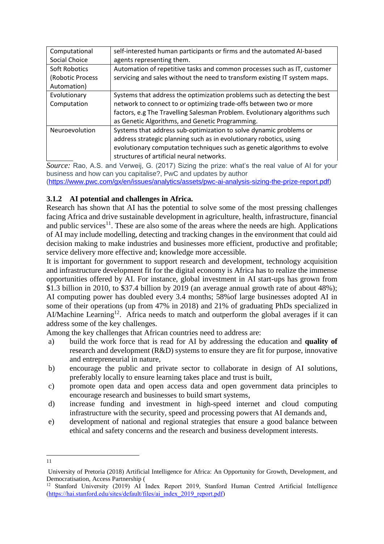| Computational    | self-interested human participants or firms and the automated AI-based     |
|------------------|----------------------------------------------------------------------------|
| Social Choice    | agents representing them.                                                  |
| Soft Robotics    | Automation of repetitive tasks and common processes such as IT, customer   |
| (Robotic Process | servicing and sales without the need to transform existing IT system maps. |
| Automation)      |                                                                            |
| Evolutionary     | Systems that address the optimization problems such as detecting the best  |
| Computation      | network to connect to or optimizing trade-offs between two or more         |
|                  | factors, e.g The Travelling Salesman Problem. Evolutionary algorithms such |
|                  | as Genetic Algorithms, and Genetic Programming.                            |
| Neuroevolution   | Systems that address sub-optimization to solve dynamic problems or         |
|                  | address strategic planning such as in evolutionary robotics, using         |
|                  | evolutionary computation techniques such as genetic algorithms to evolve   |
|                  | structures of artificial neural networks.                                  |

*Source:* Rao, A.S. and Verweij, G. (2017) Sizing the prize: what's the real value of AI for your business and how can you capitalise?, PwC and updates by author [\(https://www.pwc.com/gx/en/issues/analytics/assets/pwc-ai-analysis-sizing-the-prize-report.pdf\)](https://www.pwc.com/gx/en/issues/analytics/assets/pwc-ai-analysis-sizing-the-prize-report.pdf)

# **3.1.2 AI potential and challenges in Africa.**

Research has shown that AI has the potential to solve some of the most pressing challenges facing Africa and drive sustainable development in agriculture, health, infrastructure, financial and public services<sup>11</sup>. These are also some of the areas where the needs are high. Applications of AI may include modelling, detecting and tracking changes in the environment that could aid decision making to make industries and businesses more efficient, productive and profitable; service delivery more effective and; knowledge more accessible.

It is important for government to support research and development, technology acquisition and infrastructure development fit for the digital economy is Africa has to realize the immense opportunities offered by AI. For instance, global investment in AI start-ups has grown from \$1.3 billion in 2010, to \$37.4 billion by 2019 (an average annual growth rate of about 48%); AI computing power has doubled every 3.4 months; 58%of large businesses adopted AI in some of their operations (up from 47% in 2018) and 21% of graduating PhDs specialized in AI/Machine Learning<sup>12</sup>. Africa needs to match and outperform the global averages if it can address some of the key challenges.

Among the key challenges that African countries need to address are:

- a) build the work force that is read for AI by addressing the education and **quality of**  research and development (R&D) systems to ensure they are fit for purpose, innovative and entrepreneurial in nature,
- b) encourage the public and private sector to collaborate in design of AI solutions, preferably locally to ensure learning takes place and trust is built,
- c) promote open data and open access data and open government data principles to encourage research and businesses to build smart systems,
- d) increase funding and investment in high-speed internet and cloud computing infrastructure with the security, speed and processing powers that AI demands and,
- e) development of national and regional strategies that ensure a good balance between ethical and safety concerns and the research and business development interests.
- **.** 11

University of Pretoria (2018) Artificial Intelligence for Africa: An Opportunity for Growth, Development, and Democratisation, Access Partnership (

<sup>&</sup>lt;sup>12</sup> Stanford University (2019) AI Index Report 2019, Stanford Human Centred Artificial Intelligence [\(https://hai.stanford.edu/sites/default/files/ai\\_index\\_2019\\_report.pdf\)](https://hai.stanford.edu/sites/default/files/ai_index_2019_report.pdf)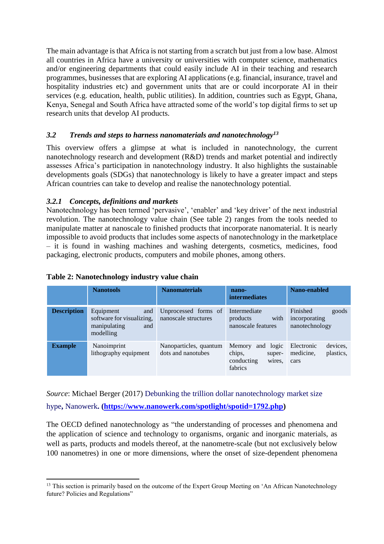The main advantage is that Africa is not starting from a scratch but just from a low base. Almost all countries in Africa have a university or universities with computer science, mathematics and/or engineering departments that could easily include AI in their teaching and research programmes, businesses that are exploring AI applications (e.g. financial, insurance, travel and hospitality industries etc) and government units that are or could incorporate AI in their services (e.g. education, health, public utilities). In addition, countries such as Egypt, Ghana, Kenya, Senegal and South Africa have attracted some of the world's top digital firms to set up research units that develop AI products.

### *3.2 Trends and steps to harness nanomaterials and nanotechnology<sup>13</sup>*

This overview offers a glimpse at what is included in nanotechnology, the current nanotechnology research and development (R&D) trends and market potential and indirectly assesses Africa's participation in nanotechnology industry. It also highlights the sustainable developments goals (SDGs) that nanotechnology is likely to have a greater impact and steps African countries can take to develop and realise the nanotechnology potential.

### *3.2.1 Concepts, definitions and markets*

Nanotechnology has been termed 'pervasive', 'enabler' and 'key driver' of the next industrial revolution. The nanotechnology value chain (See table 2) ranges from the tools needed to manipulate matter at nanoscale to finished products that incorporate nanomaterial. It is nearly impossible to avoid products that includes some aspects of nanotechnology in the marketplace – it is found in washing machines and washing detergents, cosmetics, medicines, food packaging, electronic products, computers and mobile phones, among others.

|                    | <b>Nanotools</b>                                                                  | <b>Nanomaterials</b>                         | nano-<br><b>intermediates</b>                                                 | Nano-enabled                                             |
|--------------------|-----------------------------------------------------------------------------------|----------------------------------------------|-------------------------------------------------------------------------------|----------------------------------------------------------|
| <b>Description</b> | Equipment<br>and<br>software for visualizing,<br>manipulating<br>and<br>modelling | Unprocessed forms of<br>nanoscale structures | Intermediate<br>with<br>products<br>nanoscale features                        | Finished<br>goods<br>incorporating<br>nanotechnology     |
| <b>Example</b>     | Nanoimprint<br>lithography equipment                                              | Nanoparticles, quantum<br>dots and nanotubes | Memory<br>logic<br>and<br>chips,<br>super-<br>conducting<br>wires.<br>fabrics | devices,<br>Electronic<br>plastics,<br>medicine.<br>cars |

### **Table 2: Nanotechnology industry value chain**

*Source*: Michael Berger (2017) Debunking the trillion dollar nanotechnology market size hype**,** Nanowerk**. [\(https://www.nanowerk.com/spotlight/spotid=1792.php\)](https://www.nanowerk.com/spotlight/spotid=1792.php)** 

The OECD defined nanotechnology as "the understanding of processes and phenomena and the application of science and technology to organisms, organic and inorganic materials, as well as parts, products and models thereof, at the nanometre-scale (but not exclusively below 100 nanometres) in one or more dimensions, where the onset of size-dependent phenomena

**<sup>.</sup>** <sup>13</sup> This section is primarily based on the outcome of the Expert Group Meeting on 'An African Nanotechnology future? Policies and Regulations"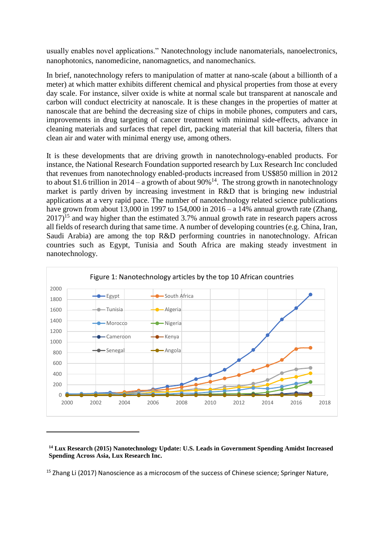usually enables novel applications." Nanotechnology include nanomaterials, nanoelectronics, nanophotonics, nanomedicine, nanomagnetics, and nanomechanics.

In brief, nanotechnology refers to manipulation of matter at nano-scale (about a billionth of a meter) at which matter exhibits different chemical and physical properties from those at every day scale. For instance, silver oxide is white at normal scale but transparent at nanoscale and carbon will conduct electricity at nanoscale. It is these changes in the properties of matter at nanoscale that are behind the decreasing size of chips in mobile phones, computers and cars, improvements in drug targeting of cancer treatment with minimal side-effects, advance in cleaning materials and surfaces that repel dirt, packing material that kill bacteria, filters that clean air and water with minimal energy use, among others.

It is these developments that are driving growth in nanotechnology-enabled products. For instance, the National Research Foundation supported research by Lux Research Inc concluded that revenues from nanotechnology enabled-products increased from US\$850 million in 2012 to about \$1.6 trillion in 2014 – a growth of about  $90\%$ <sup>14</sup>. The strong growth in nanotechnology market is partly driven by increasing investment in R&D that is bringing new industrial applications at a very rapid pace. The number of nanotechnology related science publications have grown from about 13,000 in 1997 to 154,000 in  $2016 - a$  14% annual growth rate (Zhang,  $2017$ <sup>15</sup> and way higher than the estimated 3.7% annual growth rate in research papers across all fields of research during that same time. A number of developing countries (e.g. China, Iran, Saudi Arabia) are among the top R&D performing countries in nanotechnology. African countries such as Egypt, Tunisia and South Africa are making steady investment in nanotechnology.



**<sup>14</sup> Lux Research (2015) Nanotechnology Update: U.S. Leads in Government Spending Amidst Increased Spending Across Asia, Lux Research Inc.** 

1

<sup>15</sup> Zhang Li (2017) Nanoscience as a microcosm of the success of Chinese science; Springer Nature,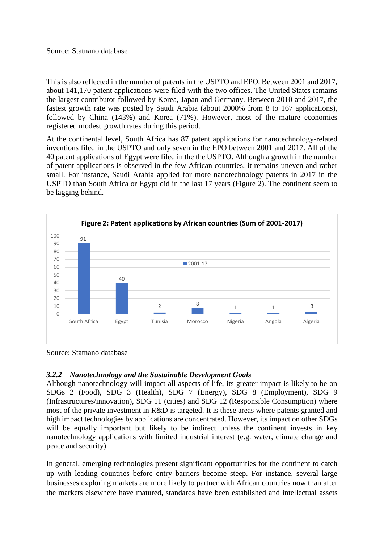This is also reflected in the number of patents in the USPTO and EPO. Between 2001 and 2017, about 141,170 patent applications were filed with the two offices. The United States remains the largest contributor followed by Korea, Japan and Germany. Between 2010 and 2017, the fastest growth rate was posted by Saudi Arabia (about 2000% from 8 to 167 applications), followed by China (143%) and Korea (71%). However, most of the mature economies registered modest growth rates during this period.

At the continental level, South Africa has 87 patent applications for nanotechnology-related inventions filed in the USPTO and only seven in the EPO between 2001 and 2017. All of the 40 patent applications of Egypt were filed in the the USPTO. Although a growth in the number of patent applications is observed in the few African countries, it remains uneven and rather small. For instance, Saudi Arabia applied for more nanotechnology patents in 2017 in the USPTO than South Africa or Egypt did in the last 17 years (Figure 2). The continent seem to be lagging behind.



Source: Statnano database

#### *3.2.2 Nanotechnology and the Sustainable Development Goals*

Although nanotechnology will impact all aspects of life, its greater impact is likely to be on SDGs 2 (Food), SDG 3 (Health), SDG 7 (Energy), SDG 8 (Employment), SDG 9 (Infrastructures/innovation), SDG 11 (cities) and SDG 12 (Responsible Consumption) where most of the private investment in R&D is targeted. It is these areas where patents granted and high impact technologies by applications are concentrated. However, its impact on other SDGs will be equally important but likely to be indirect unless the continent invests in key nanotechnology applications with limited industrial interest (e.g. water, climate change and peace and security).

In general, emerging technologies present significant opportunities for the continent to catch up with leading countries before entry barriers become steep. For instance, several large businesses exploring markets are more likely to partner with African countries now than after the markets elsewhere have matured, standards have been established and intellectual assets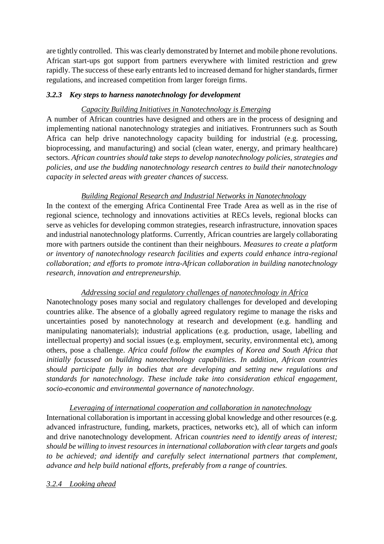are tightly controlled. This was clearly demonstrated by Internet and mobile phone revolutions. African start-ups got support from partners everywhere with limited restriction and grew rapidly. The success of these early entrants led to increased demand for higher standards, firmer regulations, and increased competition from larger foreign firms.

### *3.2.3 Key steps to harness nanotechnology for development*

# *Capacity Building Initiatives in Nanotechnology is Emerging*

A number of African countries have designed and others are in the process of designing and implementing national nanotechnology strategies and initiatives. Frontrunners such as South Africa can help drive nanotechnology capacity building for industrial (e.g. processing, bioprocessing, and manufacturing) and social (clean water, energy, and primary healthcare) sectors. *African countries should take steps to develop nanotechnology policies, strategies and policies, and use the budding nanotechnology research centres to build their nanotechnology capacity in selected areas with greater chances of success.* 

### *Building Regional Research and Industrial Networks in Nanotechnology*

In the context of the emerging Africa Continental Free Trade Area as well as in the rise of regional science, technology and innovations activities at RECs levels, regional blocks can serve as vehicles for developing common strategies, research infrastructure, innovation spaces and industrial nanotechnology platforms. Currently, African countries are largely collaborating more with partners outside the continent than their neighbours. *Measures to create a platform or inventory of nanotechnology research facilities and experts could enhance intra-regional collaboration; and efforts to promote intra-African collaboration in building nanotechnology research, innovation and entrepreneurship.*

# *Addressing social and regulatory challenges of nanotechnology in Africa*

Nanotechnology poses many social and regulatory challenges for developed and developing countries alike. The absence of a globally agreed regulatory regime to manage the risks and uncertainties posed by nanotechnology at research and development (e.g. handling and manipulating nanomaterials); industrial applications (e.g. production, usage, labelling and intellectual property) and social issues (e.g. employment, security, environmental etc), among others, pose a challenge. *Africa could follow the examples of Korea and South Africa that initially focussed on building nanotechnology capabilities. In addition, African countries should participate fully in bodies that are developing and setting new regulations and standards for nanotechnology. These include take into consideration ethical engagement, socio-economic and environmental governance of nanotechnology.* 

# *Leveraging of international cooperation and collaboration in nanotechnology* International collaboration is important in accessing global knowledge and other resources (e.g.

advanced infrastructure, funding, markets, practices, networks etc), all of which can inform and drive nanotechnology development. African *countries need to identify areas of interest; should be willing to invest resources in international collaboration with clear targets and goals to be achieved; and identify and carefully select international partners that complement, advance and help build national efforts, preferably from a range of countries.*

# *3.2.4 Looking ahead*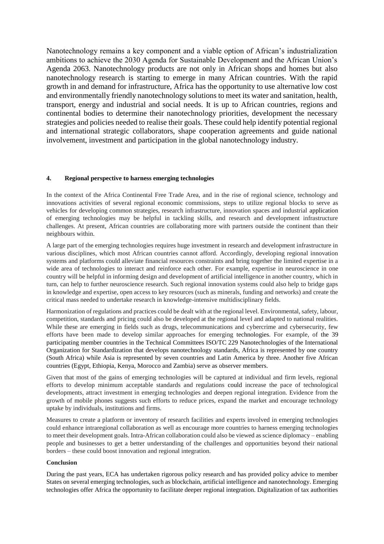Nanotechnology remains a key component and a viable option of African's industrialization ambitions to achieve the 2030 Agenda for Sustainable Development and the African Union's Agenda 2063. Nanotechnology products are not only in African shops and homes but also nanotechnology research is starting to emerge in many African countries. With the rapid growth in and demand for infrastructure, Africa has the opportunity to use alternative low cost and environmentally friendly nanotechnology solutions to meet its water and sanitation, health, transport, energy and industrial and social needs. It is up to African countries, regions and continental bodies to determine their nanotechnology priorities, development the necessary strategies and policies needed to realise their goals. These could help identify potential regional and international strategic collaborators, shape cooperation agreements and guide national involvement, investment and participation in the global nanotechnology industry.

#### **4. Regional perspective to harness emerging technologies**

In the context of the Africa Continental Free Trade Area, and in the rise of regional science, technology and innovations activities of several regional economic commissions, steps to utilize regional blocks to serve as vehicles for developing common strategies, research infrastructure, innovation spaces and industrial application of emerging technologies may be helpful in tackling skills, and research and development infrastructure challenges. At present, African countries are collaborating more with partners outside the continent than their neighbours within.

A large part of the emerging technologies requires huge investment in research and development infrastructure in various disciplines, which most African countries cannot afford. Accordingly, developing regional innovation systems and platforms could alleviate financial resources constraints and bring together the limited expertise in a wide area of technologies to interact and reinforce each other. For example, expertise in neuroscience in one country will be helpful in informing design and development of artificial intelligence in another country, which in turn, can help to further neuroscience research. Such regional innovation systems could also help to bridge gaps in knowledge and expertise, open access to key resources (such as minerals, funding and networks) and create the critical mass needed to undertake research in knowledge-intensive multidisciplinary fields.

Harmonization of regulations and practices could be dealt with at the regional level. Environmental, safety, labour, competition, standards and pricing could also be developed at the regional level and adapted to national realities. While these are emerging in fields such as drugs, telecommunications and cybercrime and cybersecurity, few efforts have been made to develop similar approaches for emerging technologies. For example, of the 39 participating member countries in the Technical Committees ISO/TC 229 Nanotechnologies of the International Organization for Standardization that develops nanotechnology standards, Africa is represented by one country (South Africa) while Asia is represented by seven countries and Latin America by three. Another five African countries (Egypt, Ethiopia, Kenya, Morocco and Zambia) serve as observer members.

Given that most of the gains of emerging technologies will be captured at individual and firm levels, regional efforts to develop minimum acceptable standards and regulations could increase the pace of technological developments, attract investment in emerging technologies and deepen regional integration. Evidence from the growth of mobile phones suggests such efforts to reduce prices, expand the market and encourage technology uptake by individuals, institutions and firms.

Measures to create a platform or inventory of research facilities and experts involved in emerging technologies could enhance intraregional collaboration as well as encourage more countries to harness emerging technologies to meet their development goals. Intra-African collaboration could also be viewed as science diplomacy – enabling people and businesses to get a better understanding of the challenges and opportunities beyond their national borders – these could boost innovation and regional integration.

#### **Conclusion**

During the past years, ECA has undertaken rigorous policy research and has provided policy advice to member States on several emerging technologies, such as blockchain, artificial intelligence and nanotechnology. Emerging technologies offer Africa the opportunity to facilitate deeper regional integration. Digitalization of tax authorities